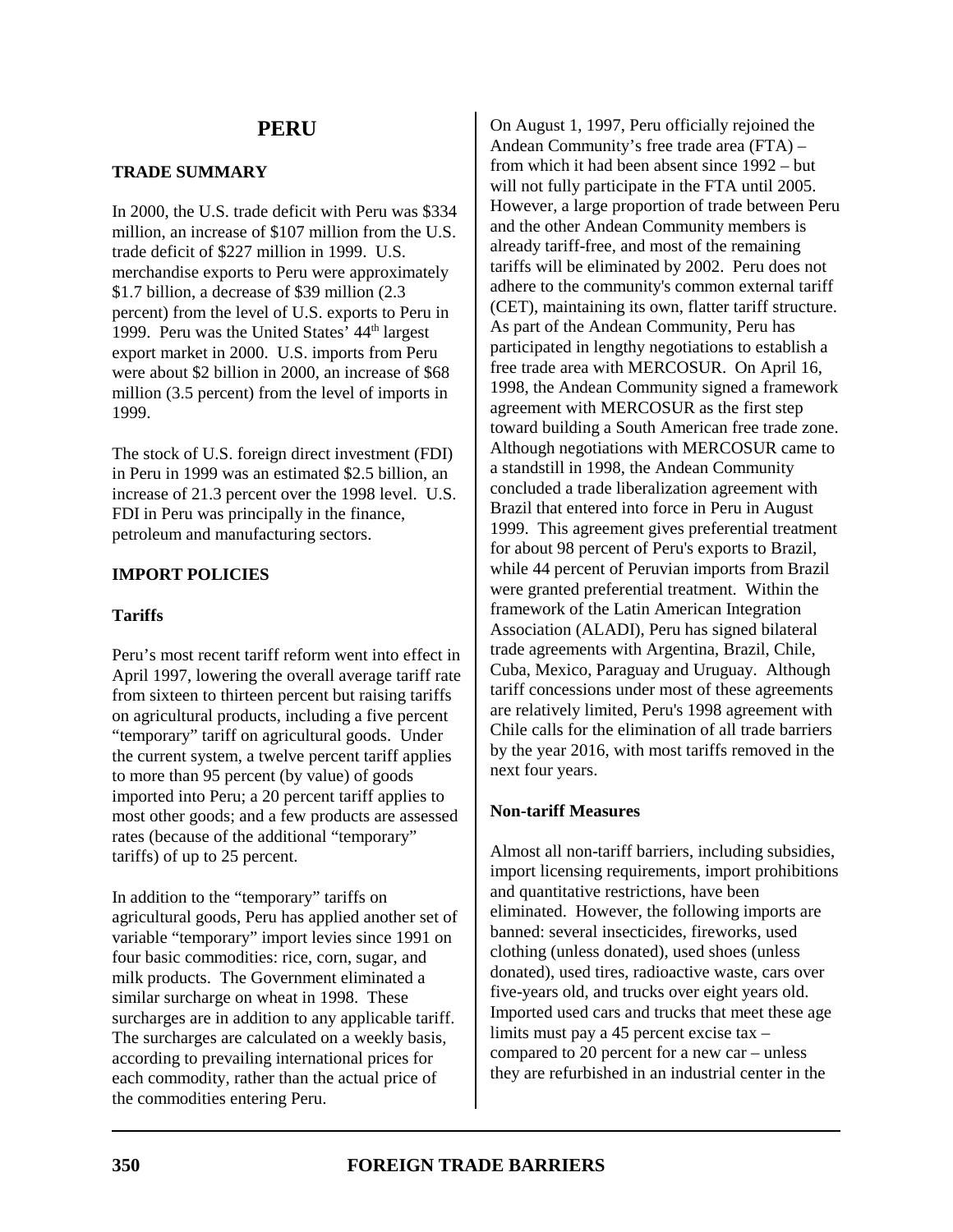# **PERU**

## **TRADE SUMMARY**

In 2000, the U.S. trade deficit with Peru was \$334 million, an increase of \$107 million from the U.S. trade deficit of \$227 million in 1999. U.S. merchandise exports to Peru were approximately \$1.7 billion, a decrease of \$39 million (2.3 percent) from the level of U.S. exports to Peru in 1999. Peru was the United States' 44<sup>th</sup> largest export market in 2000. U.S. imports from Peru were about \$2 billion in 2000, an increase of \$68 million (3.5 percent) from the level of imports in 1999.

The stock of U.S. foreign direct investment (FDI) in Peru in 1999 was an estimated \$2.5 billion, an increase of 21.3 percent over the 1998 level. U.S. FDI in Peru was principally in the finance, petroleum and manufacturing sectors.

## **IMPORT POLICIES**

### **Tariffs**

Peru's most recent tariff reform went into effect in April 1997, lowering the overall average tariff rate from sixteen to thirteen percent but raising tariffs on agricultural products, including a five percent "temporary" tariff on agricultural goods. Under the current system, a twelve percent tariff applies to more than 95 percent (by value) of goods imported into Peru; a 20 percent tariff applies to most other goods; and a few products are assessed rates (because of the additional "temporary" tariffs) of up to 25 percent.

In addition to the "temporary" tariffs on agricultural goods, Peru has applied another set of variable "temporary" import levies since 1991 on four basic commodities: rice, corn, sugar, and milk products. The Government eliminated a similar surcharge on wheat in 1998. These surcharges are in addition to any applicable tariff. The surcharges are calculated on a weekly basis, according to prevailing international prices for each commodity, rather than the actual price of the commodities entering Peru.

On August 1, 1997, Peru officially rejoined the Andean Community's free trade area (FTA) – from which it had been absent since 1992 – but will not fully participate in the FTA until 2005. However, a large proportion of trade between Peru and the other Andean Community members is already tariff-free, and most of the remaining tariffs will be eliminated by 2002. Peru does not adhere to the community's common external tariff (CET), maintaining its own, flatter tariff structure. As part of the Andean Community, Peru has participated in lengthy negotiations to establish a free trade area with MERCOSUR. On April 16, 1998, the Andean Community signed a framework agreement with MERCOSUR as the first step toward building a South American free trade zone. Although negotiations with MERCOSUR came to a standstill in 1998, the Andean Community concluded a trade liberalization agreement with Brazil that entered into force in Peru in August 1999. This agreement gives preferential treatment for about 98 percent of Peru's exports to Brazil, while 44 percent of Peruvian imports from Brazil were granted preferential treatment. Within the framework of the Latin American Integration Association (ALADI), Peru has signed bilateral trade agreements with Argentina, Brazil, Chile, Cuba, Mexico, Paraguay and Uruguay. Although tariff concessions under most of these agreements are relatively limited, Peru's 1998 agreement with Chile calls for the elimination of all trade barriers by the year 2016, with most tariffs removed in the next four years.

### **Non-tariff Measures**

Almost all non-tariff barriers, including subsidies, import licensing requirements, import prohibitions and quantitative restrictions, have been eliminated. However, the following imports are banned: several insecticides, fireworks, used clothing (unless donated), used shoes (unless donated), used tires, radioactive waste, cars over five-years old, and trucks over eight years old. Imported used cars and trucks that meet these age limits must pay a 45 percent excise tax – compared to 20 percent for a new car – unless they are refurbished in an industrial center in the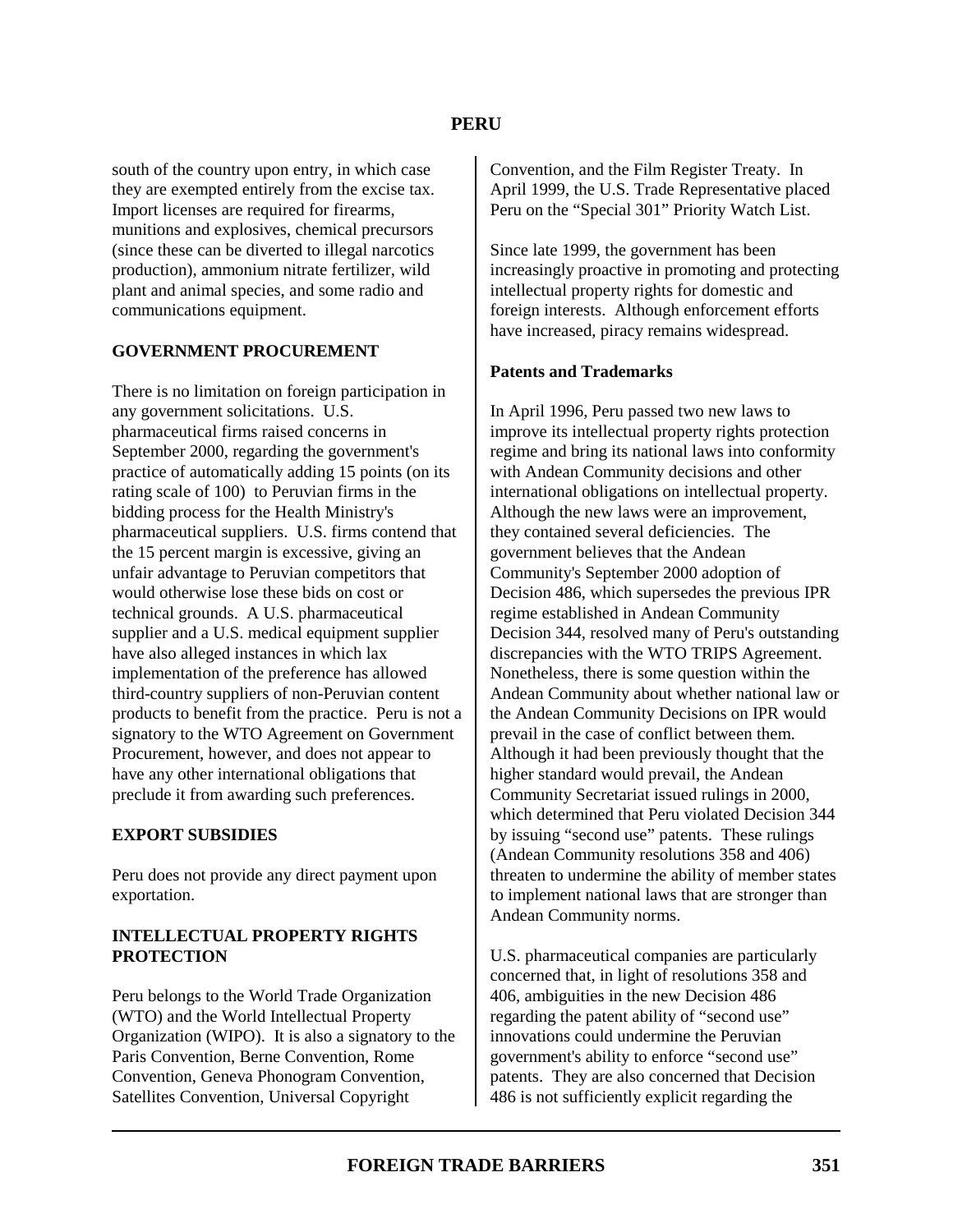south of the country upon entry, in which case they are exempted entirely from the excise tax. Import licenses are required for firearms, munitions and explosives, chemical precursors (since these can be diverted to illegal narcotics production), ammonium nitrate fertilizer, wild plant and animal species, and some radio and communications equipment.

### **GOVERNMENT PROCUREMENT**

There is no limitation on foreign participation in any government solicitations. U.S. pharmaceutical firms raised concerns in September 2000, regarding the government's practice of automatically adding 15 points (on its rating scale of 100) to Peruvian firms in the bidding process for the Health Ministry's pharmaceutical suppliers. U.S. firms contend that the 15 percent margin is excessive, giving an unfair advantage to Peruvian competitors that would otherwise lose these bids on cost or technical grounds. A U.S. pharmaceutical supplier and a U.S. medical equipment supplier have also alleged instances in which lax implementation of the preference has allowed third-country suppliers of non-Peruvian content products to benefit from the practice. Peru is not a signatory to the WTO Agreement on Government Procurement, however, and does not appear to have any other international obligations that preclude it from awarding such preferences.

### **EXPORT SUBSIDIES**

Peru does not provide any direct payment upon exportation.

### **INTELLECTUAL PROPERTY RIGHTS PROTECTION**

Peru belongs to the World Trade Organization (WTO) and the World Intellectual Property Organization (WIPO). It is also a signatory to the Paris Convention, Berne Convention, Rome Convention, Geneva Phonogram Convention, Satellites Convention, Universal Copyright

Convention, and the Film Register Treaty. In April 1999, the U.S. Trade Representative placed Peru on the "Special 301" Priority Watch List.

Since late 1999, the government has been increasingly proactive in promoting and protecting intellectual property rights for domestic and foreign interests. Although enforcement efforts have increased, piracy remains widespread.

#### **Patents and Trademarks**

In April 1996, Peru passed two new laws to improve its intellectual property rights protection regime and bring its national laws into conformity with Andean Community decisions and other international obligations on intellectual property. Although the new laws were an improvement, they contained several deficiencies. The government believes that the Andean Community's September 2000 adoption of Decision 486, which supersedes the previous IPR regime established in Andean Community Decision 344, resolved many of Peru's outstanding discrepancies with the WTO TRIPS Agreement. Nonetheless, there is some question within the Andean Community about whether national law or the Andean Community Decisions on IPR would prevail in the case of conflict between them. Although it had been previously thought that the higher standard would prevail, the Andean Community Secretariat issued rulings in 2000, which determined that Peru violated Decision 344 by issuing "second use" patents. These rulings (Andean Community resolutions 358 and 406) threaten to undermine the ability of member states to implement national laws that are stronger than Andean Community norms.

U.S. pharmaceutical companies are particularly concerned that, in light of resolutions 358 and 406, ambiguities in the new Decision 486 regarding the patent ability of "second use" innovations could undermine the Peruvian government's ability to enforce "second use" patents. They are also concerned that Decision 486 is not sufficiently explicit regarding the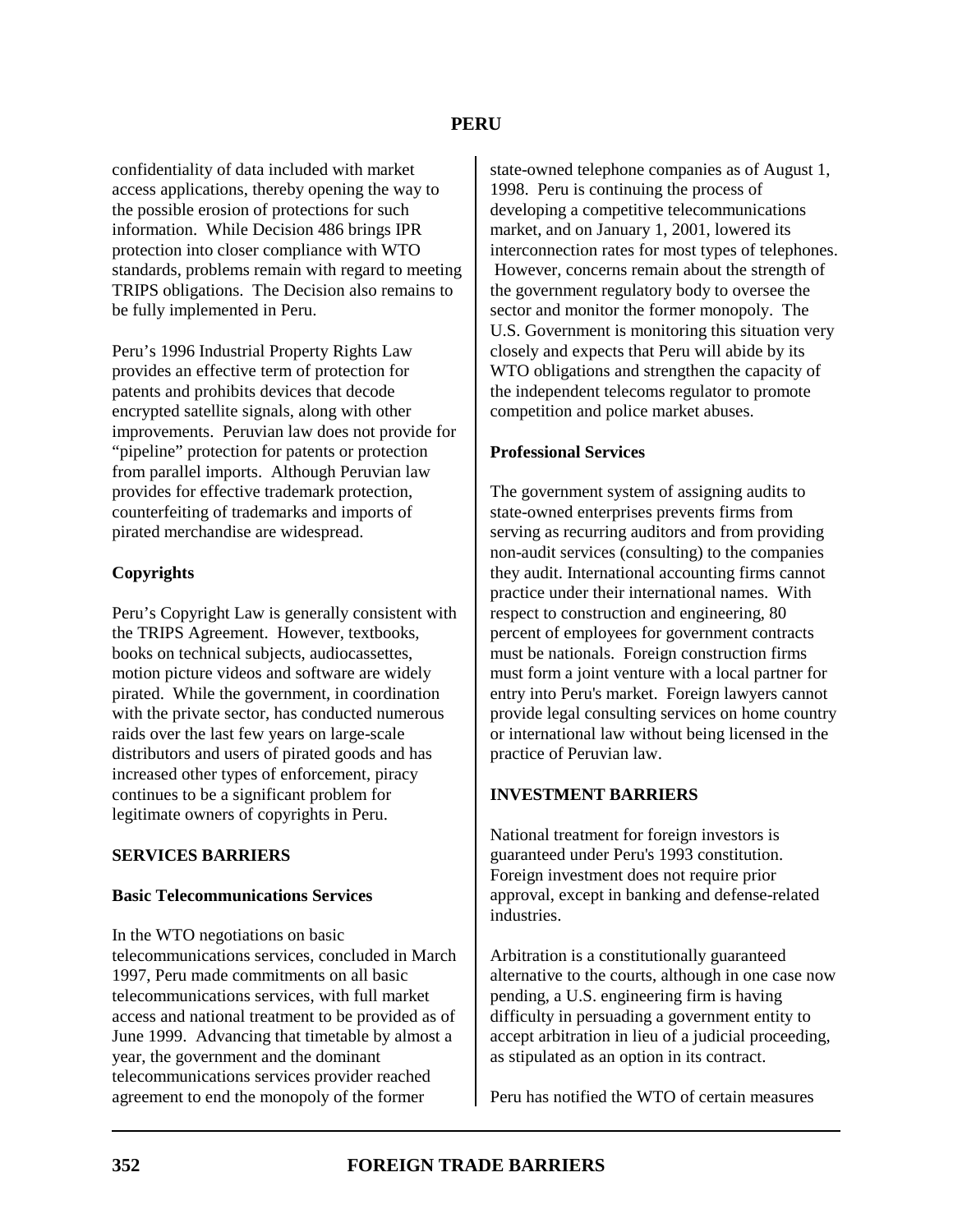confidentiality of data included with market access applications, thereby opening the way to the possible erosion of protections for such information. While Decision 486 brings IPR protection into closer compliance with WTO standards, problems remain with regard to meeting TRIPS obligations. The Decision also remains to be fully implemented in Peru.

Peru's 1996 Industrial Property Rights Law provides an effective term of protection for patents and prohibits devices that decode encrypted satellite signals, along with other improvements. Peruvian law does not provide for "pipeline" protection for patents or protection from parallel imports. Although Peruvian law provides for effective trademark protection, counterfeiting of trademarks and imports of pirated merchandise are widespread.

## **Copyrights**

Peru's Copyright Law is generally consistent with the TRIPS Agreement. However, textbooks, books on technical subjects, audiocassettes, motion picture videos and software are widely pirated. While the government, in coordination with the private sector, has conducted numerous raids over the last few years on large-scale distributors and users of pirated goods and has increased other types of enforcement, piracy continues to be a significant problem for legitimate owners of copyrights in Peru.

## **SERVICES BARRIERS**

## **Basic Telecommunications Services**

In the WTO negotiations on basic telecommunications services, concluded in March 1997, Peru made commitments on all basic telecommunications services, with full market access and national treatment to be provided as of June 1999. Advancing that timetable by almost a year, the government and the dominant telecommunications services provider reached agreement to end the monopoly of the former

state-owned telephone companies as of August 1, 1998. Peru is continuing the process of developing a competitive telecommunications market, and on January 1, 2001, lowered its interconnection rates for most types of telephones. However, concerns remain about the strength of the government regulatory body to oversee the sector and monitor the former monopoly. The U.S. Government is monitoring this situation very closely and expects that Peru will abide by its WTO obligations and strengthen the capacity of the independent telecoms regulator to promote competition and police market abuses.

## **Professional Services**

The government system of assigning audits to state-owned enterprises prevents firms from serving as recurring auditors and from providing non-audit services (consulting) to the companies they audit. International accounting firms cannot practice under their international names. With respect to construction and engineering, 80 percent of employees for government contracts must be nationals. Foreign construction firms must form a joint venture with a local partner for entry into Peru's market. Foreign lawyers cannot provide legal consulting services on home country or international law without being licensed in the practice of Peruvian law.

## **INVESTMENT BARRIERS**

National treatment for foreign investors is guaranteed under Peru's 1993 constitution. Foreign investment does not require prior approval, except in banking and defense-related industries.

Arbitration is a constitutionally guaranteed alternative to the courts, although in one case now pending, a U.S. engineering firm is having difficulty in persuading a government entity to accept arbitration in lieu of a judicial proceeding, as stipulated as an option in its contract.

Peru has notified the WTO of certain measures